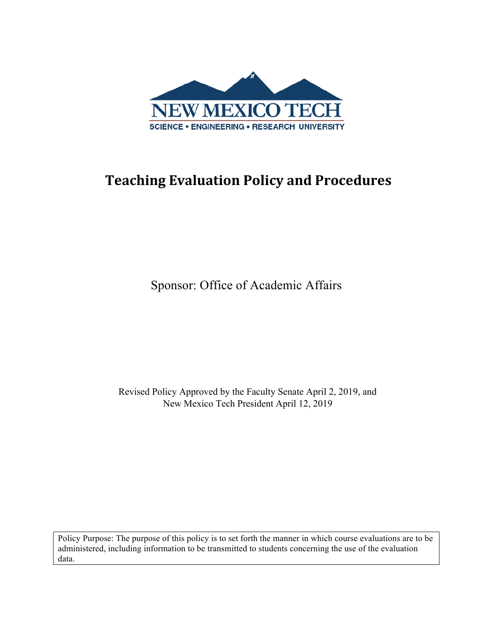

## **Teaching Evaluation Policy and Procedures**

Sponsor: Office of Academic Affairs

Revised Policy Approved by the Faculty Senate April 2, 2019, and New Mexico Tech President April 12, 2019

Policy Purpose: The purpose of this policy is to set forth the manner in which course evaluations are to be administered, including information to be transmitted to students concerning the use of the evaluation data.